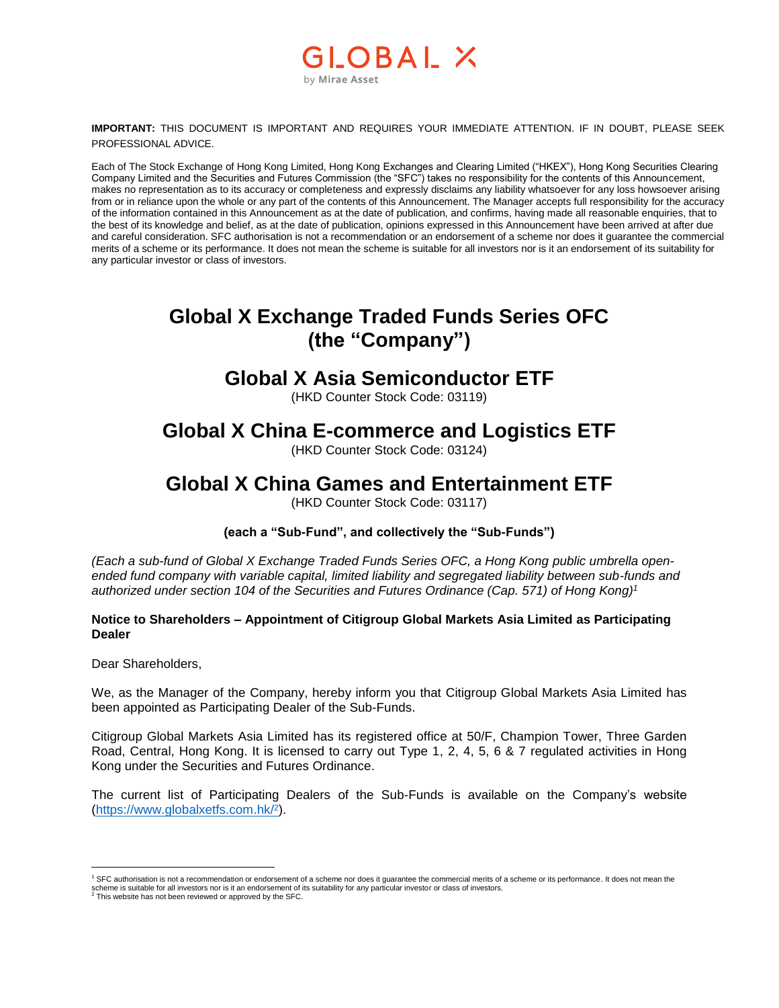### \_OBAL X by Mirae Asset

**IMPORTANT:** THIS DOCUMENT IS IMPORTANT AND REQUIRES YOUR IMMEDIATE ATTENTION. IF IN DOUBT, PLEASE SEEK PROFESSIONAL ADVICE.

Each of The Stock Exchange of Hong Kong Limited, Hong Kong Exchanges and Clearing Limited ("HKEX"), Hong Kong Securities Clearing Company Limited and the Securities and Futures Commission (the "SFC") takes no responsibility for the contents of this Announcement, makes no representation as to its accuracy or completeness and expressly disclaims any liability whatsoever for any loss howsoever arising from or in reliance upon the whole or any part of the contents of this Announcement. The Manager accepts full responsibility for the accuracy of the information contained in this Announcement as at the date of publication, and confirms, having made all reasonable enquiries, that to the best of its knowledge and belief, as at the date of publication, opinions expressed in this Announcement have been arrived at after due and careful consideration. SFC authorisation is not a recommendation or an endorsement of a scheme nor does it guarantee the commercial merits of a scheme or its performance. It does not mean the scheme is suitable for all investors nor is it an endorsement of its suitability for any particular investor or class of investors.

# **Global X Exchange Traded Funds Series OFC (the "Company")**

#### **Global X Asia Semiconductor ETF**

(HKD Counter Stock Code: 03119)

### **Global X China E-commerce and Logistics ETF**

(HKD Counter Stock Code: 03124)

## **Global X China Games and Entertainment ETF**

(HKD Counter Stock Code: 03117)

**(each a "Sub-Fund", and collectively the "Sub-Funds")**

*(Each a sub-fund of Global X Exchange Traded Funds Series OFC, a Hong Kong public umbrella openended fund company with variable capital, limited liability and segregated liability between sub-funds and authorized under section 104 of the Securities and Futures Ordinance (Cap. 571) of Hong Kong) 1*

#### **Notice to Shareholders – Appointment of Citigroup Global Markets Asia Limited as Participating Dealer**

Dear Shareholders,

 $\overline{a}$ 

We, as the Manager of the Company, hereby inform you that Citigroup Global Markets Asia Limited has been appointed as Participating Dealer of the Sub-Funds.

Citigroup Global Markets Asia Limited has its registered office at 50/F, Champion Tower, Three Garden Road, Central, Hong Kong. It is licensed to carry out Type 1, 2, 4, 5, 6 & 7 regulated activities in Hong Kong under the Securities and Futures Ordinance.

The current list of Participating Dealers of the Sub-Funds is available on the Company's website [\(https://www.globalxetfs.com.hk/](https://www.globalxetfs.com.hk/)<sup>2</sup> ).

<sup>1</sup> SFC authorisation is not a recommendation or endorsement of a scheme nor does it guarantee the commercial merits of a scheme or its performance. It does not mean the scheme is suitable for all investors nor is it an endorsement of its suitability for any particular investor or class of investors.<br><sup>2</sup> This website has not been reviewed or approved by the SFC.